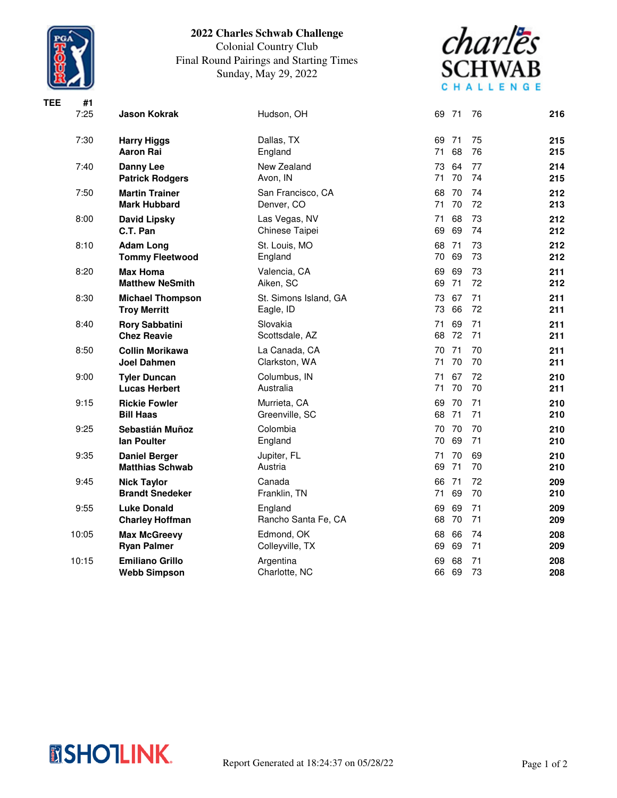

## **2022 Charles Schwab Challenge**

Colonial Country Club Final Round Pairings and Starting Times Sunday, May 29, 2022



| <b>TEE</b> | #1    |                                                |                                    |                                   |            |
|------------|-------|------------------------------------------------|------------------------------------|-----------------------------------|------------|
|            | 7:25  | <b>Jason Kokrak</b>                            | Hudson, OH                         | 69 71<br>76                       | 216        |
|            | 7:30  | <b>Harry Higgs</b><br><b>Aaron Rai</b>         | Dallas, TX<br>England              | 71<br>75<br>69<br>76<br>71<br>68  | 215<br>215 |
|            | 7:40  | Danny Lee<br><b>Patrick Rodgers</b>            | New Zealand<br>Avon, IN            | 77<br>73<br>64<br>74<br>70<br>71  | 214<br>215 |
|            | 7:50  | <b>Martin Trainer</b><br><b>Mark Hubbard</b>   | San Francisco, CA<br>Denver, CO    | 68<br>70<br>74<br>71<br>70<br>72  | 212<br>213 |
|            | 8:00  | <b>David Lipsky</b><br>C.T. Pan                | Las Vegas, NV<br>Chinese Taipei    | 73<br>71<br>68<br>69<br>69<br>74  | 212<br>212 |
|            | 8:10  | <b>Adam Long</b><br><b>Tommy Fleetwood</b>     | St. Louis, MO<br>England           | 71<br>68<br>73<br>69<br>73<br>70  | 212<br>212 |
|            | 8:20  | <b>Max Homa</b><br><b>Matthew NeSmith</b>      | Valencia, CA<br>Aiken, SC          | 69<br>69<br>73<br>72<br>69<br>71  | 211<br>212 |
|            | 8:30  | <b>Michael Thompson</b><br><b>Troy Merritt</b> | St. Simons Island, GA<br>Eagle, ID | 71<br>73<br>67<br>72<br>73<br>66  | 211<br>211 |
|            | 8:40  | <b>Rory Sabbatini</b><br><b>Chez Reavie</b>    | Slovakia<br>Scottsdale, AZ         | 71<br>71<br>69<br>72<br>71<br>68  | 211<br>211 |
|            | 8:50  | <b>Collin Morikawa</b><br>Joel Dahmen          | La Canada, CA<br>Clarkston, WA     | 71<br>70<br>70<br>70<br>70<br>71  | 211<br>211 |
|            | 9:00  | <b>Tyler Duncan</b><br><b>Lucas Herbert</b>    | Columbus, IN<br>Australia          | 67<br>72<br>71<br>71<br>70<br>70  | 210<br>211 |
|            | 9:15  | <b>Rickie Fowler</b><br><b>Bill Haas</b>       | Murrieta, CA<br>Greenville, SC     | 71<br>69<br>-70<br>71<br>71<br>68 | 210<br>210 |
|            | 9:25  | Sebastián Muñoz<br>lan Poulter                 | Colombia<br>England                | 70<br>70<br>-70<br>69<br>71<br>70 | 210<br>210 |
|            | 9:35  | <b>Daniel Berger</b><br><b>Matthias Schwab</b> | Jupiter, FL<br>Austria             | 71<br>70<br>69<br>69<br>71<br>70  | 210<br>210 |
|            | 9:45  | <b>Nick Taylor</b><br><b>Brandt Snedeker</b>   | Canada<br>Franklin, TN             | 66<br>71<br>72<br>69<br>70<br>71  | 209<br>210 |
|            | 9:55  | <b>Luke Donald</b><br><b>Charley Hoffman</b>   | England<br>Rancho Santa Fe, CA     | 71<br>69<br>69<br>71<br>68<br>70  | 209<br>209 |
|            | 10:05 | <b>Max McGreevy</b><br><b>Ryan Palmer</b>      | Edmond, OK<br>Colleyville, TX      | 68<br>66<br>74<br>69<br>71<br>69  | 208<br>209 |
|            | 10:15 | <b>Emiliano Grillo</b><br><b>Webb Simpson</b>  | Argentina<br>Charlotte, NC         | 69<br>68<br>71<br>73<br>66<br>69  | 208<br>208 |